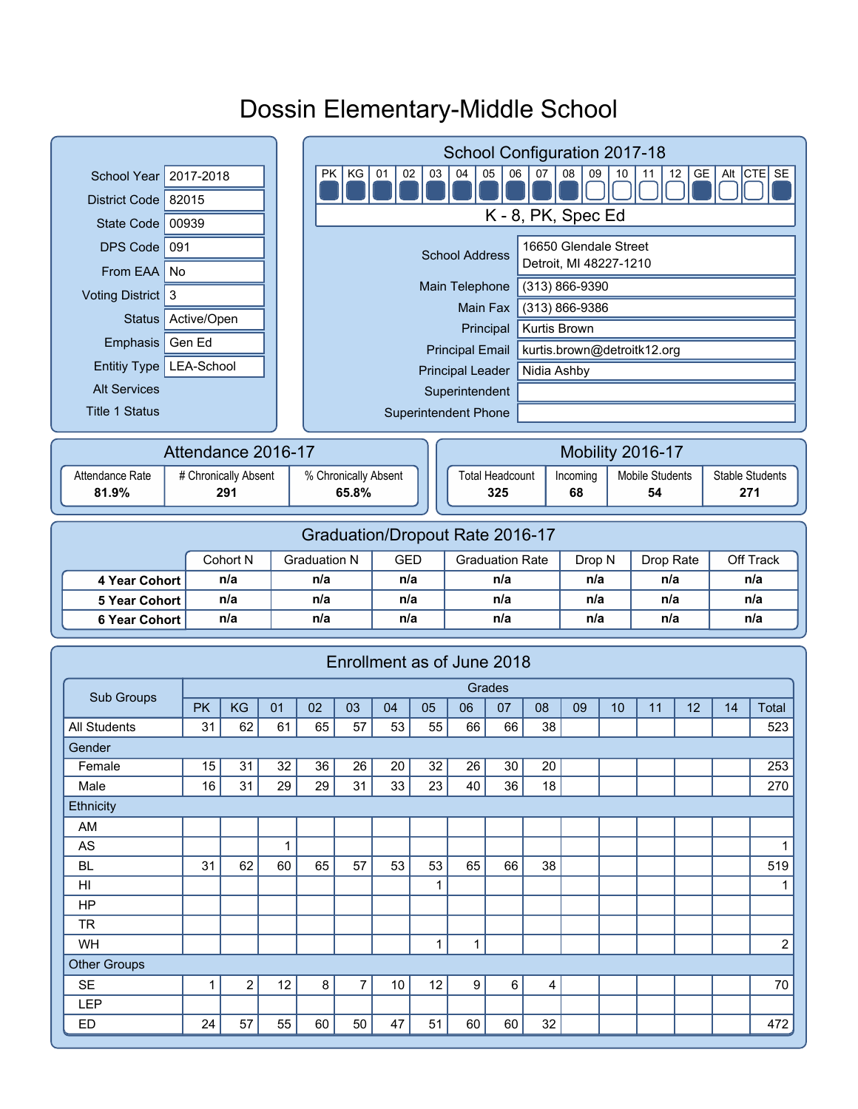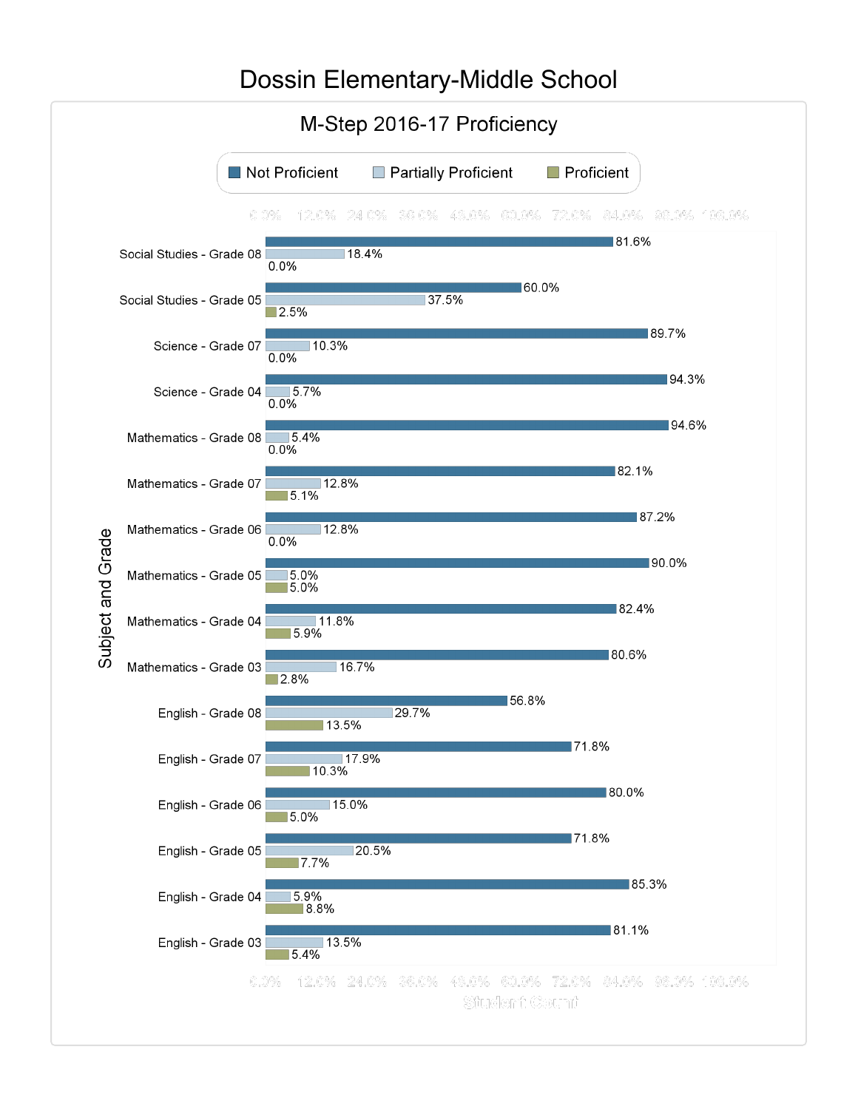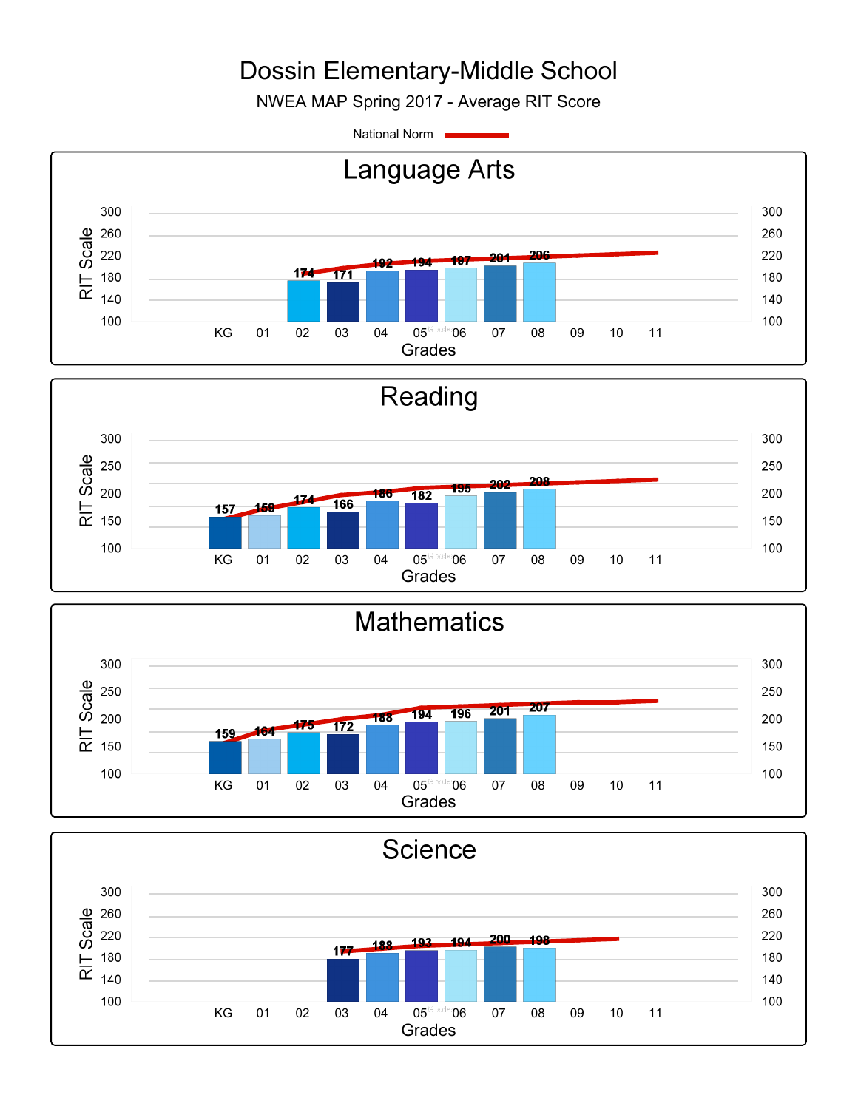NWEA MAP Spring 2017 - Average RIT Score

National Norm